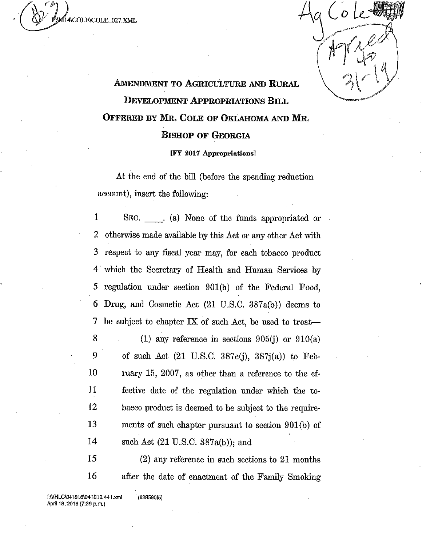.2)4\COLECOLE 027.XML

## **AMENDMENT TO AGRICULTURE AND RURAL DEVELOPMENT APPROPRIATIONS BILL OFFERED BY MR. COLE OF OKLAHOMA AND MR. BISHOP OF GEORGIA**

## [FY 2017 Appropriations]

At the end of the bill (before the spending reduction account), insert the following:

1 SEC.  $\qquad$  (a) None of the funds appropriated or 2 otherwise made available by this Act or any other Act with 3 respect to any fiscal year may, for each tobacco product 4 which the Secretary of Health and Human Services by 5 regulation under section 901(b) of the Federal Food, 6 Drug, and Cosmetic Act (21 U.S.C. 387a(b)) deems to 7 be subject to chapter IX of such Act, be used to treat-8 (1) any reference in sections  $905(j)$  or  $910(a)$ 9 of such Act  $(21 \text{ U.S.C. } 387e(i), 387i(a))$  to Feb-10 ruary 15, 2007, as other than a reference to the ef-11 festive date of the regulation under which the to-12 bacco product is deemed to be subject to the require-13 ments of such chapter pursuant to section 901(b) of 14 such Act (21 U.S.C. 387a(b)); and

15 (2) any reference in such sections to 21 months 16 after the date of enactment of the Family Smoking

f:WHLC \041816 041816.441.xml (62859015) April 18, 2016 (7:39 p.m.)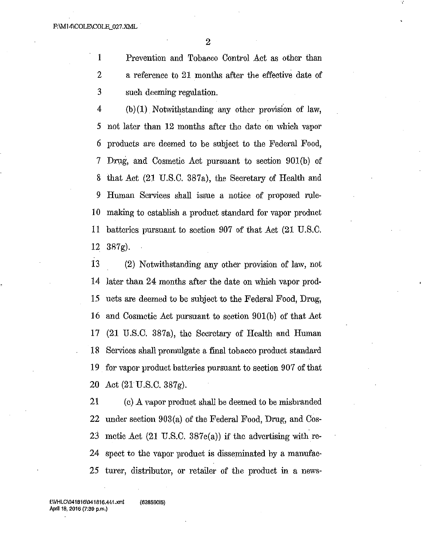1 Prevention and Tobacco Control Act as other than 2 a reference to 21 months after the effective date of 3 such deeming regulation.

4 (b)(1) Notwithstanding any other provision of law, 5 not later than 12 months after the date on which vapor 6 products are deemed to be subject to the Federal Food, 7 Drug, and Cosmetic Act pursuant to section 901(b) of 8 that Act (21 U.S.C. 387a), the Secretary of Health and 9 Human Services shall issue a notice of proposed rule-10 making to establish a product standard for vapor product 11 batteries pursuant to section 907 of that Act (21 U.S.C. 12 387g).

13 (2) Notwithstanding any other provision of law, not 14 later than 24 months after the date on which vapor prod-15 ucts are deemed to be subject to the Federal Food, Drug, 16 and Cosmetic Act pursuant to section 901(b) of that Act 17 (21 U.S.C. 387a), the Secretary of Health and Human 18 Services shall promulgate a final tobacco product standard 19 for vapor product batteries pursuant to section 907 of that 20 Act (21 U.S.C. 387g).

21 (c) A vapor product shall be deemed to be misbranded 22 under section 903(a) of the Federal Food, Drug, and Cos-23 metie Act (21 U.S.C. 387c(a)) if the advertising with re-24 spect to the vapor product is disseminated by a manufac-25 turer, distributor, or retailer of the product in a news-

WHLC\041816\041816.441.xml (62859015) April 18, 2016 (7:39 p.m.)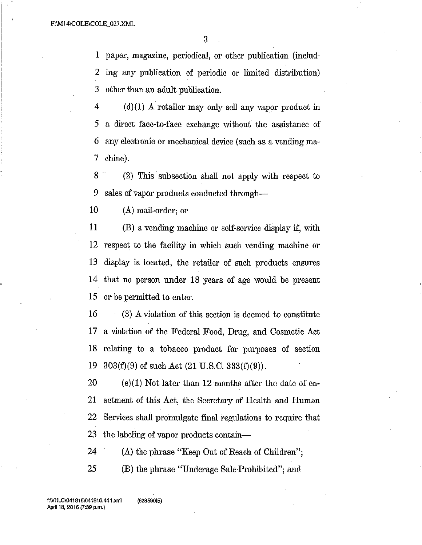3

1 paper, magazine, periodical, or other publication (includ-2 ing any publication of periodic or limited distribution) 3 other than an adult publication.

 $4$  (d)(1) A retailer may only sell any vapor product in 5 a direct face-to-face exchange without the assistance of 6 any electronic or mechanical device (such as a vending ma-7 chine).

8 (2) This subsection shall not apply with respect to 9 sales of vapor products conducted through-

10 (A) mail-order; or

11 (B) a vending machine or self-service display if, with 12 respect to the facility in which such vending machine or 13 display is located, the retailer of such products ensures 14 that no person under 18 years of age would be present 15 or be permitted to enter.

16 (3) A violation of this section is deemed to constitute 17 a. violation of the Federal Food, Drug, and Cosmetic Act 18 relating to a tobacco product for purposes of section 19  $303(f)(9)$  of such Act  $(21 \text{ U.S.C. } 333(f)(9))$ .

20 (e)(1) Not later than 12 months after the date of en-21 actment of this Act, the Secretary of Health and Human 22 Services shall promulgate final regulations to require that 23 the labeling of vapor products contain—

24 (A) the phrase "Keep Out of Reach of Children"; 25 (B) the phrase "Underage Sale•Prohibited"; and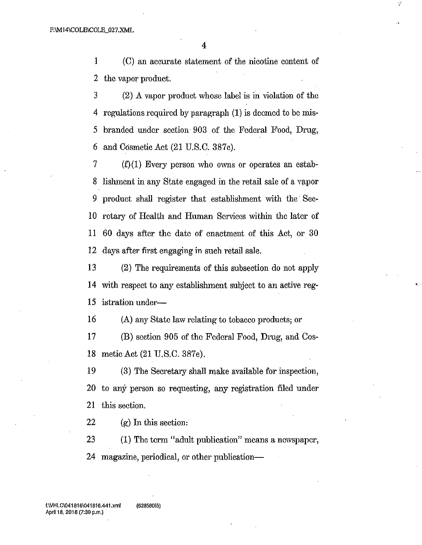1 (C) an accurate statement of the nicotine content of 2 the vapor product.

3 (2) A vapor product whose label is in violation of the 4 regulations required by paragraph  $(1)$  is deemed to be mis-5 branded under section 903 of the Federal Food, Drug, 6 and Cosmetic Act  $(21 \text{ U.S.C. } 387c)$ .

7 (f)(1) Every person who owns or operates an estab-8 lishment in any State engaged in the retail sale of a vapor 9 product shall register that establishment with the Sec-10 retary of Health and Human Services within the later of 11 60 days after the date of enactment of this Act, or 30 12 days after first engaging in such retail sale.

13 (2) The requirements of this subsection do not apply 14 with respect to any establishment subject to an active reg-15 istration under-

16 (A) any State law relating to tobacco products; or

17 (B) section 905 of the Federal Food, Drug, and Cos-18 metic Act (21 U.S.C. 387e).

19 (3) The Secretary shall make available for inspection, 20 to any person so requesting, any registration filed under 21 this section.

22 (g) In this section:

23 (1) The term "adult publication" means a newspaper, 24 magazine, periodical, or other publication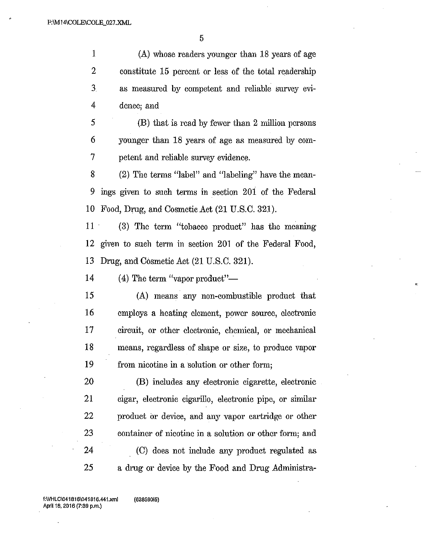5

1 (A) whose readers younger than 18 years of age 2 constitute 15 percent or less of the total readership 3 as measured by competent and reliable survey evi-4 donee; and

 $5$  (B) that is read by fewer than 2 million persons 6 younger than 18 years of age as measured by con-7 petent and reliable survey evidence.

8 (2) The terms "label" and "labeling" have the mean-9 ings given to such terms in section 201 of the Federal 10 Food, Drug, and Cosmetic Act (21 U.S.C. 321).

11 (3) The term "tobacco product" has the meaning 12 given to such term in section 201 of the Federal Food, 13 Drug, and Cosmetic Act (21 U.S.C. 321).

14  $(4)$  The term "vapor product"—

15 (A) means any non-combustible product that 16 employs a heating element, power source, electronic 17 circuit, or other electronic, chemical, or mechanical 18 means, regardless of shape or size, to produce vapor 19 from nicotine in a solution or other form;

20 (B) includes any electronic cigarette, electronic 21 cigar, electronic cigarillo, electronic pipe, or similar 22 product or device, and any vapor cartridge or other 23 container of nicotine in a solution or other form; and 24 (C) does not include any product regulated as 25 a drug or device by the Food and Drug Administra